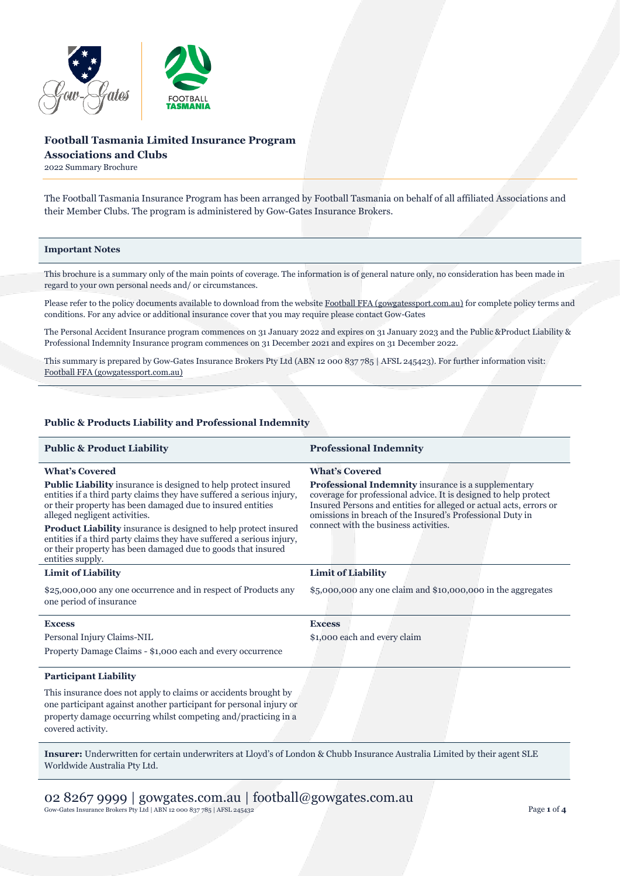

# **Football Tasmania Limited Insurance Program Associations and Clubs**

2022 Summary Brochure

The Football Tasmania Insurance Program has been arranged by Football Tasmania on behalf of all affiliated Associations and their Member Clubs. The program is administered by Gow-Gates Insurance Brokers.

## **Important Notes**

This brochure is a summary only of the main points of coverage. The information is of general nature only, no consideration has been made in regard to your own personal needs and/ or circumstances.

Please refer to the policy documents available to download from the websit[e Football FFA \(gowgatessport.com.au\)](https://football.gowgatessport.com.au/) for complete policy terms and conditions. For any advice or additional insurance cover that you may require please contact Gow-Gates

The Personal Accident Insurance program commences on 31 January 2022 and expires on 31 January 2023 and the Public &Product Liability & Professional Indemnity Insurance program commences on 31 December 2021 and expires on 31 December 2022.

This summary is prepared by Gow-Gates Insurance Brokers Pty Ltd (ABN 12 000 837 785 | AFSL 245423). For further information visit: [Football FFA \(gowgatessport.com.au\)](https://football.gowgatessport.com.au/)

### **Public & Products Liability and Professional Indemnity**

| <b>Professional Indemnity</b>                                                                                                                                                                                                                                                                       |
|-----------------------------------------------------------------------------------------------------------------------------------------------------------------------------------------------------------------------------------------------------------------------------------------------------|
| <b>What's Covered</b>                                                                                                                                                                                                                                                                               |
| Professional Indemnity insurance is a supplementary<br>coverage for professional advice. It is designed to help protect<br>Insured Persons and entities for alleged or actual acts, errors or<br>omissions in breach of the Insured's Professional Duty in<br>connect with the business activities. |
|                                                                                                                                                                                                                                                                                                     |
| $$5,000,000$ any one claim and $$10,000,000$ in the aggregates                                                                                                                                                                                                                                      |
| <b>Excess</b>                                                                                                                                                                                                                                                                                       |
| \$1,000 each and every claim                                                                                                                                                                                                                                                                        |
|                                                                                                                                                                                                                                                                                                     |
|                                                                                                                                                                                                                                                                                                     |
|                                                                                                                                                                                                                                                                                                     |
|                                                                                                                                                                                                                                                                                                     |

**Insurer:** Underwritten for certain underwriters at Lloyd's of London & Chubb Insurance Australia Limited by their agent SLE Worldwide Australia Pty Ltd.

02 8267 9999 | gowgates.com.au | football@gowgates.com.au Gow-Gates Insurance Brokers Pty Ltd | ABN 12 000 837 785 | AFSL 245432 Page **1** of **4**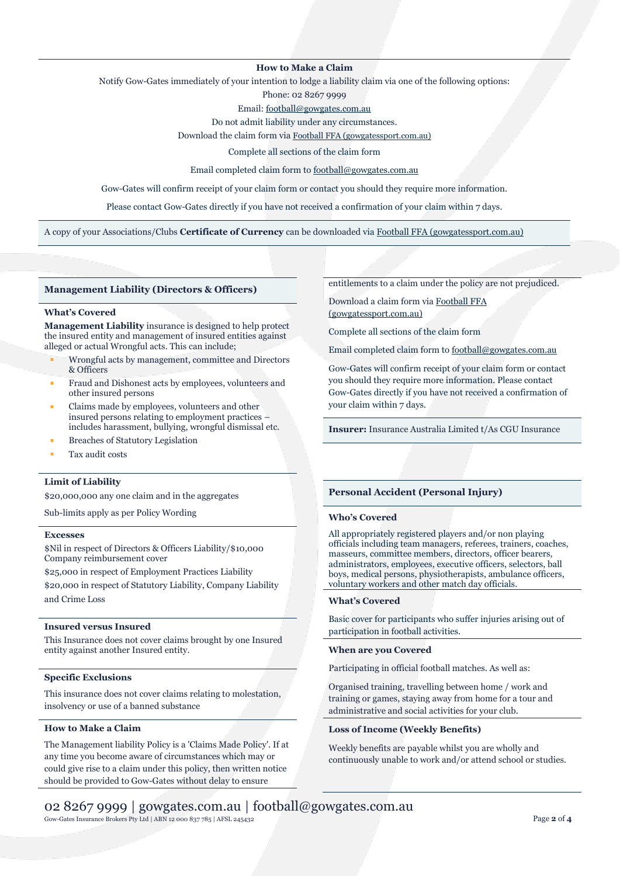## **How to Make a Claim**

Notify Gow-Gates immediately of your intention to lodge a liability claim via one of the following options:

Phone: 02 8267 9999

Email[: football@gowgates.com.au](mailto:football@gowgates.com.au)

Do not admit liability under any circumstances.

Download the claim form via [Football FFA \(gowgatessport.com.au\)](https://football.gowgatessport.com.au/)

Complete all sections of the claim form

Email completed claim form to [football@gowgates.com.au](mailto:football@gowgates.com.au)

Gow-Gates will confirm receipt of your claim form or contact you should they require more information.

Please contact Gow-Gates directly if you have not received a confirmation of your claim within 7 days.

A copy of your Associations/Clubs **Certificate of Currency** can be downloaded via [Football FFA \(gowgatessport.com.au\)](https://football.gowgatessport.com.au/)

### **Management Liability (Directors & Officers)**

## **What's Covered**

**Management Liability** insurance is designed to help protect the insured entity and management of insured entities against alleged or actual Wrongful acts. This can include;

- Wrongful acts by management, committee and Directors & Officers
- Fraud and Dishonest acts by employees, volunteers and other insured persons
- Claims made by employees, volunteers and other insured persons relating to employment practices – includes harassment, bullying, wrongful dismissal etc.
- **Breaches of Statutory Legislation**
- Tax audit costs

## **Limit of Liability**

\$20,000,000 any one claim and in the aggregates

Sub-limits apply as per Policy Wording

#### **Excesses**

\$Nil in respect of Directors & Officers Liability/\$10,000 Company reimbursement cover

\$25,000 in respect of Employment Practices Liability

\$20,000 in respect of Statutory Liability, Company Liability and Crime Loss

### **Insured versus Insured**

This Insurance does not cover claims brought by one Insured entity against another Insured entity.

## **Specific Exclusions**

This insurance does not cover claims relating to molestation, insolvency or use of a banned substance

## **How to Make a Claim**

The Management liability Policy is a 'Claims Made Policy'. If at any time you become aware of circumstances which may or could give rise to a claim under this policy, then written notice should be provided to Gow-Gates without delay to ensure

entitlements to a claim under the policy are not prejudiced.

Download a claim form vi[a Football FFA](https://football.gowgatessport.com.au/)  [\(gowgatessport.com.au\)](https://football.gowgatessport.com.au/)

Complete all sections of the claim form

Email completed claim form to [football@gowgates.com.au](mailto:football@gowgates.com.au)

Gow-Gates will confirm receipt of your claim form or contact you should they require more information. Please contact Gow-Gates directly if you have not received a confirmation of your claim within 7 days.

**Insurer:** Insurance Australia Limited t/As CGU Insurance

### **Personal Accident (Personal Injury)**

#### **Who's Covered**

All appropriately registered players and/or non playing officials including team managers, referees, trainers, coaches, masseurs, committee members, directors, officer bearers, administrators, employees, executive officers, selectors, ball boys, medical persons, physiotherapists, ambulance officers, voluntary workers and other match day officials.

### **What's Covered**

Basic cover for participants who suffer injuries arising out of participation in football activities.

#### **When are you Covered**

Participating in official football matches. As well as:

Organised training, travelling between home / work and training or games, staying away from home for a tour and administrative and social activities for your club.

#### **Loss of Income (Weekly Benefits)**

Weekly benefits are payable whilst you are wholly and continuously unable to work and/or attend school or studies.

Gow-Gates Insurance Brokers Pty Ltd | ABN 12 000 837 785 | AFSL 245432 Page **2** of **4**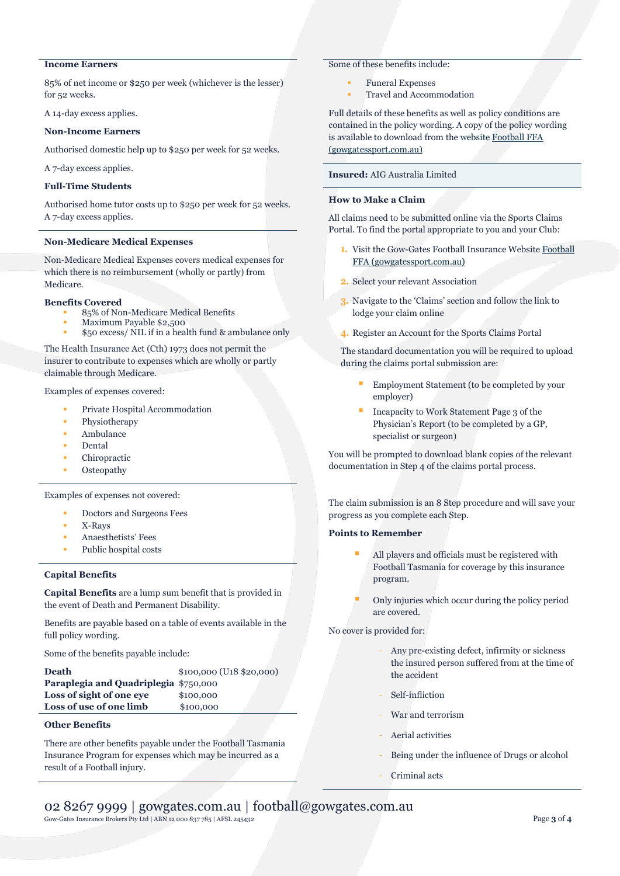# **Income Earners**

85% of net income or \$250 per week (whichever is the lesser) for 52 weeks.

A 14-day excess applies.

### **Non-Income Earners**

Authorised domestic help up to \$250 per week for 52 weeks.

A 7-day excess applies.

## **Full-Time Students**

Authorised home tutor costs up to \$250 per week for 52 weeks. A 7-day excess applies.

## **Non-Medicare Medical Expenses**

Non-Medicare Medical Expenses covers medical expenses for which there is no reimbursement (wholly or partly) from Medicare.

### **Benefits Covered**

- 85% of Non-Medicare Medical Benefits
- Maximum Payable \$2,500 \$50 excess/ NIL if in a health fund & ambulance only

The Health Insurance Act (Cth) 1973 does not permit the insurer to contribute to expenses which are wholly or partly claimable through Medicare.

Examples of expenses covered:

- Private Hospital Accommodation
- Physiotherapy
- Ambulance
- **Dental**
- Chiropractic
- **Osteopathy**

Examples of expenses not covered:

- Doctors and Surgeons Fees
- X-Rays
- Anaesthetists' Fees
- Public hospital costs

## **Capital Benefits**

**Capital Benefits** are a lump sum benefit that is provided in the event of Death and Permanent Disability.

Benefits are payable based on a table of events available in the full policy wording.

Some of the benefits payable include:

| <b>Death</b>                          | $$100,000$ (U <sub>18</sub> $$20,000$ ) |
|---------------------------------------|-----------------------------------------|
| Paraplegia and Quadriplegia \$750,000 |                                         |
| Loss of sight of one eye              | \$100,000                               |
| Loss of use of one limb               | \$100,000                               |
|                                       |                                         |

## **Other Benefits**

There are other benefits payable under the Football Tasmania Insurance Program for expenses which may be incurred as a result of a Football injury.

## Some of these benefits include:

- **Funeral Expenses**
- Travel and Accommodation

Full details of these benefits as well as policy conditions are contained in the policy wording. A copy of the policy wording is available to download from the website [Football FFA](https://football.gowgatessport.com.au/)  [\(gowgatessport.com.au\)](https://football.gowgatessport.com.au/)

## **Insured:** AIG Australia Limited

# **How to Make a Claim**

All claims need to be submitted online via the Sports Claims Portal. To find the portal appropriate to you and your Club:

- **1.** Visit the Gow-Gates Football Insurance Websit[e Football](https://football.gowgatessport.com.au/)  [FFA \(gowgatessport.com.au\)](https://football.gowgatessport.com.au/)
- **2.** Select your relevant Association
- **3.** Navigate to the 'Claims' section and follow the link to lodge your claim online
- **4.** Register an Account for the Sports Claims Portal

The standard documentation you will be required to upload during the claims portal submission are:

- Employment Statement (to be completed by your employer)
- Incapacity to Work Statement Page 3 of the Physician's Report (to be completed by a GP, specialist or surgeon)

You will be prompted to download blank copies of the relevant documentation in Step 4 of the claims portal process.

The claim submission is an 8 Step procedure and will save your progress as you complete each Step.

## **Points to Remember**

- All players and officials must be registered with Football Tasmania for coverage by this insurance program.
- Only injuries which occur during the policy period are covered.

No cover is provided for:

- Any pre-existing defect, infirmity or sickness the insured person suffered from at the time of the accident
- Self-infliction
- War and terrorism
- Aerial activities
- Being under the influence of Drugs or alcohol
- Criminal acts